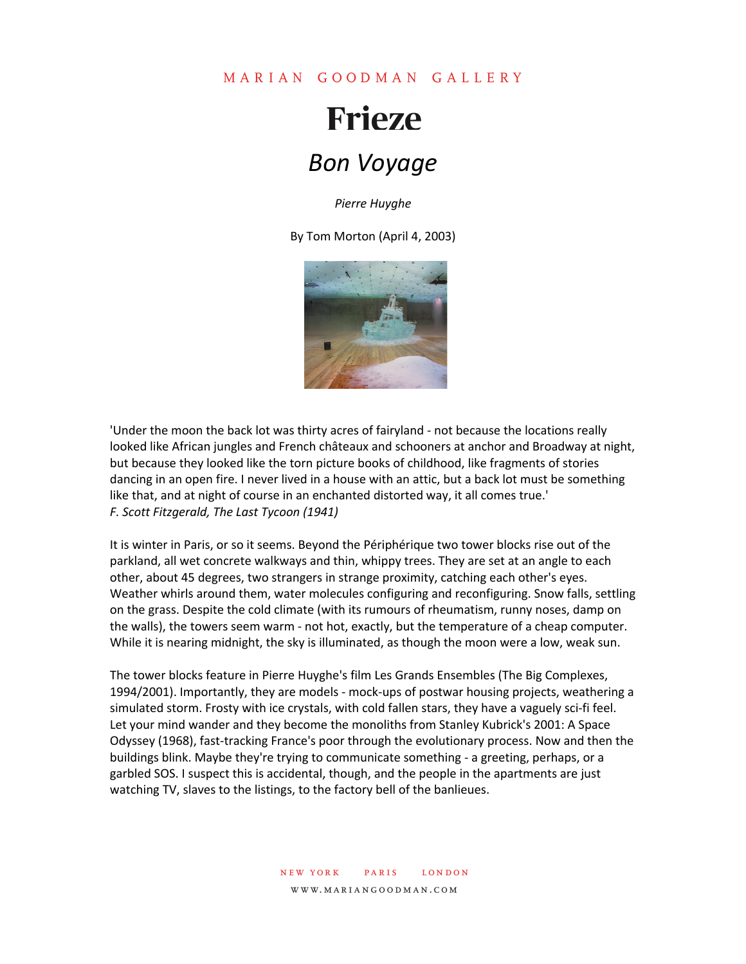# **Frieze** *Bon Voyage*

*Pierre Huyghe*

By Tom Morton (April 4, 2003)



'Under the moon the back lot was thirty acres of fairyland - not because the locations really looked like African jungles and French châteaux and schooners at anchor and Broadway at night, but because they looked like the torn picture books of childhood, like fragments of stories dancing in an open fire. I never lived in a house with an attic, but a back lot must be something like that, and at night of course in an enchanted distorted way, it all comes true.' *F. Scott Fitzgerald, The Last Tycoon (1941)*

It is winter in Paris, or so it seems. Beyond the Périphérique two tower blocks rise out of the parkland, all wet concrete walkways and thin, whippy trees. They are set at an angle to each other, about 45 degrees, two strangers in strange proximity, catching each other's eyes. Weather whirls around them, water molecules configuring and reconfiguring. Snow falls, settling on the grass. Despite the cold climate (with its rumours of rheumatism, runny noses, damp on the walls), the towers seem warm - not hot, exactly, but the temperature of a cheap computer. While it is nearing midnight, the sky is illuminated, as though the moon were a low, weak sun.

The tower blocks feature in Pierre Huyghe's film Les Grands Ensembles (The Big Complexes, 1994/2001). Importantly, they are models - mock-ups of postwar housing projects, weathering a simulated storm. Frosty with ice crystals, with cold fallen stars, they have a vaguely sci-fi feel. Let your mind wander and they become the monoliths from Stanley Kubrick's 2001: A Space Odyssey (1968), fast-tracking France's poor through the evolutionary process. Now and then the buildings blink. Maybe they're trying to communicate something - a greeting, perhaps, or a garbled SOS. I suspect this is accidental, though, and the people in the apartments are just watching TV, slaves to the listings, to the factory bell of the banlieues.

#### new york paris london www.mariangoodman.com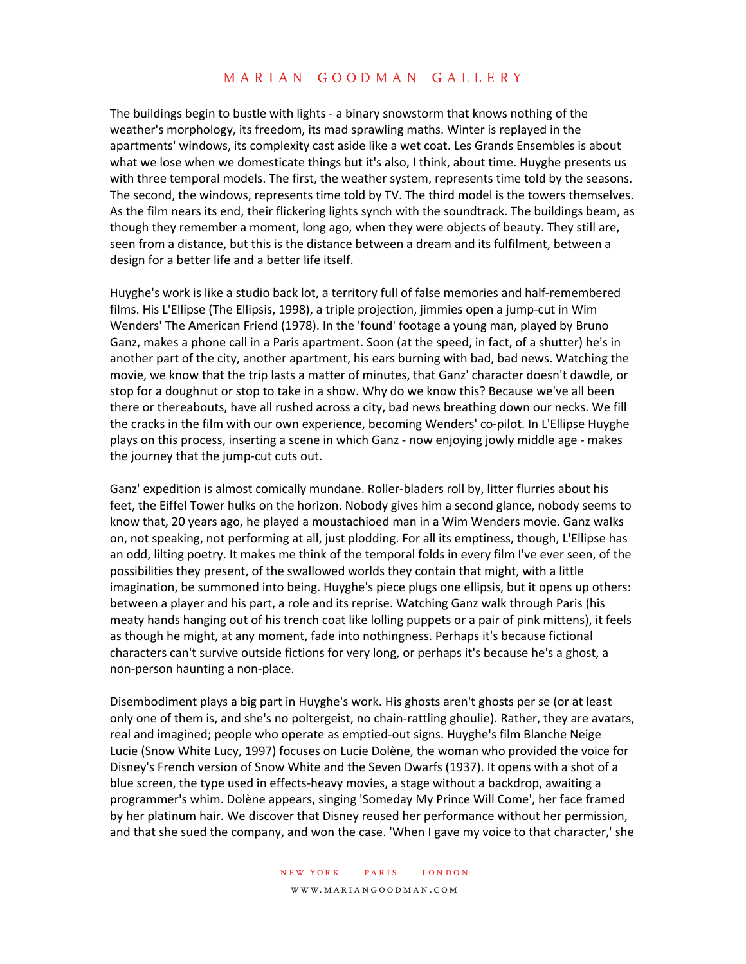The buildings begin to bustle with lights - a binary snowstorm that knows nothing of the weather's morphology, its freedom, its mad sprawling maths. Winter is replayed in the apartments' windows, its complexity cast aside like a wet coat. Les Grands Ensembles is about what we lose when we domesticate things but it's also, I think, about time. Huyghe presents us with three temporal models. The first, the weather system, represents time told by the seasons. The second, the windows, represents time told by TV. The third model is the towers themselves. As the film nears its end, their flickering lights synch with the soundtrack. The buildings beam, as though they remember a moment, long ago, when they were objects of beauty. They still are, seen from a distance, but this is the distance between a dream and its fulfilment, between a design for a better life and a better life itself.

Huyghe's work is like a studio back lot, a territory full of false memories and half-remembered films. His L'Ellipse (The Ellipsis, 1998), a triple projection, jimmies open a jump-cut in Wim Wenders' The American Friend (1978). In the 'found' footage a young man, played by Bruno Ganz, makes a phone call in a Paris apartment. Soon (at the speed, in fact, of a shutter) he's in another part of the city, another apartment, his ears burning with bad, bad news. Watching the movie, we know that the trip lasts a matter of minutes, that Ganz' character doesn't dawdle, or stop for a doughnut or stop to take in a show. Why do we know this? Because we've all been there or thereabouts, have all rushed across a city, bad news breathing down our necks. We fill the cracks in the film with our own experience, becoming Wenders' co-pilot. In L'Ellipse Huyghe plays on this process, inserting a scene in which Ganz - now enjoying jowly middle age - makes the journey that the jump-cut cuts out.

Ganz' expedition is almost comically mundane. Roller-bladers roll by, litter flurries about his feet, the Eiffel Tower hulks on the horizon. Nobody gives him a second glance, nobody seems to know that, 20 years ago, he played a moustachioed man in a Wim Wenders movie. Ganz walks on, not speaking, not performing at all, just plodding. For all its emptiness, though, L'Ellipse has an odd, lilting poetry. It makes me think of the temporal folds in every film I've ever seen, of the possibilities they present, of the swallowed worlds they contain that might, with a little imagination, be summoned into being. Huyghe's piece plugs one ellipsis, but it opens up others: between a player and his part, a role and its reprise. Watching Ganz walk through Paris (his meaty hands hanging out of his trench coat like lolling puppets or a pair of pink mittens), it feels as though he might, at any moment, fade into nothingness. Perhaps it's because fictional characters can't survive outside fictions for very long, or perhaps it's because he's a ghost, a non-person haunting a non-place.

Disembodiment plays a big part in Huyghe's work. His ghosts aren't ghosts per se (or at least only one of them is, and she's no poltergeist, no chain-rattling ghoulie). Rather, they are avatars, real and imagined; people who operate as emptied-out signs. Huyghe's film Blanche Neige Lucie (Snow White Lucy, 1997) focuses on Lucie Dolène, the woman who provided the voice for Disney's French version of Snow White and the Seven Dwarfs (1937). It opens with a shot of a blue screen, the type used in effects-heavy movies, a stage without a backdrop, awaiting a programmer's whim. Dolène appears, singing 'Someday My Prince Will Come', her face framed by her platinum hair. We discover that Disney reused her performance without her permission, and that she sued the company, and won the case. 'When I gave my voice to that character,' she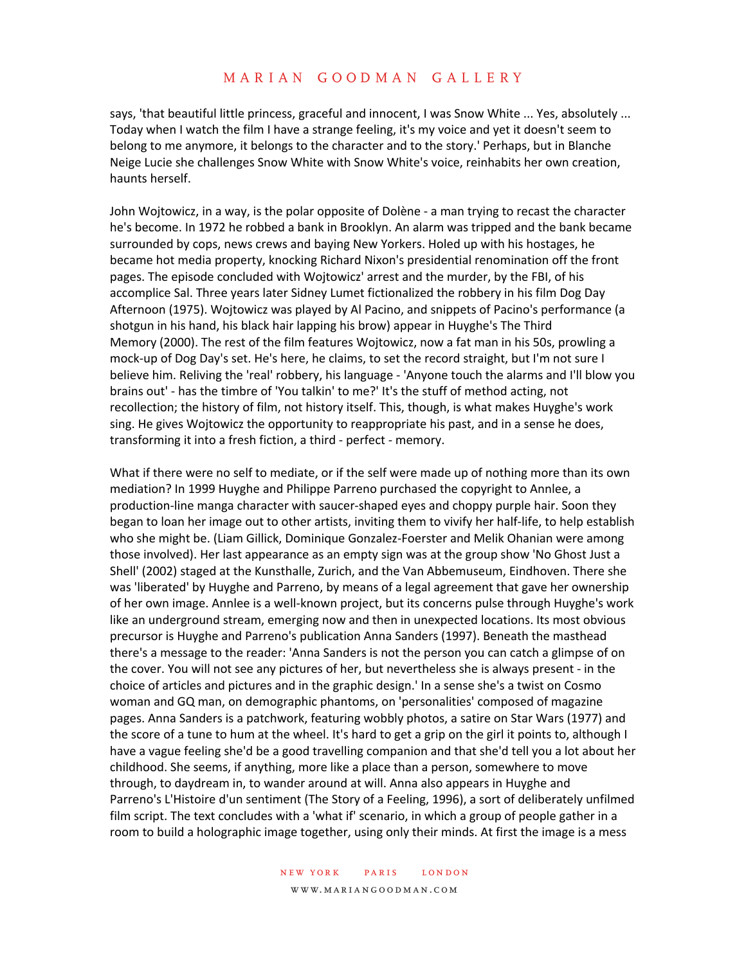says, 'that beautiful little princess, graceful and innocent, I was Snow White ... Yes, absolutely ... Today when I watch the film I have a strange feeling, it's my voice and yet it doesn't seem to belong to me anymore, it belongs to the character and to the story.' Perhaps, but in Blanche Neige Lucie she challenges Snow White with Snow White's voice, reinhabits her own creation, haunts herself.

John Wojtowicz, in a way, is the polar opposite of Dolène - a man trying to recast the character he's become. In 1972 he robbed a bank in Brooklyn. An alarm was tripped and the bank became surrounded by cops, news crews and baying New Yorkers. Holed up with his hostages, he became hot media property, knocking Richard Nixon's presidential renomination off the front pages. The episode concluded with Wojtowicz' arrest and the murder, by the FBI, of his accomplice Sal. Three years later Sidney Lumet fictionalized the robbery in his film Dog Day Afternoon (1975). Wojtowicz was played by Al Pacino, and snippets of Pacino's performance (a shotgun in his hand, his black hair lapping his brow) appear in Huyghe's The Third Memory (2000). The rest of the film features Wojtowicz, now a fat man in his 50s, prowling a mock-up of Dog Day's set. He's here, he claims, to set the record straight, but I'm not sure I believe him. Reliving the 'real' robbery, his language - 'Anyone touch the alarms and I'll blow you brains out' - has the timbre of 'You talkin' to me?' It's the stuff of method acting, not recollection; the history of film, not history itself. This, though, is what makes Huyghe's work sing. He gives Wojtowicz the opportunity to reappropriate his past, and in a sense he does, transforming it into a fresh fiction, a third - perfect - memory.

What if there were no self to mediate, or if the self were made up of nothing more than its own mediation? In 1999 Huyghe and Philippe Parreno purchased the copyright to Annlee, a production-line manga character with saucer-shaped eyes and choppy purple hair. Soon they began to loan her image out to other artists, inviting them to vivify her half-life, to help establish who she might be. (Liam Gillick, Dominique Gonzalez-Foerster and Melik Ohanian were among those involved). Her last appearance as an empty sign was at the group show 'No Ghost Just a Shell' (2002) staged at the Kunsthalle, Zurich, and the Van Abbemuseum, Eindhoven. There she was 'liberated' by Huyghe and Parreno, by means of a legal agreement that gave her ownership of her own image. Annlee is a well-known project, but its concerns pulse through Huyghe's work like an underground stream, emerging now and then in unexpected locations. Its most obvious precursor is Huyghe and Parreno's publication Anna Sanders (1997). Beneath the masthead there's a message to the reader: 'Anna Sanders is not the person you can catch a glimpse of on the cover. You will not see any pictures of her, but nevertheless she is always present - in the choice of articles and pictures and in the graphic design.' In a sense she's a twist on Cosmo woman and GQ man, on demographic phantoms, on 'personalities' composed of magazine pages. Anna Sanders is a patchwork, featuring wobbly photos, a satire on Star Wars (1977) and the score of a tune to hum at the wheel. It's hard to get a grip on the girl it points to, although I have a vague feeling she'd be a good travelling companion and that she'd tell you a lot about her childhood. She seems, if anything, more like a place than a person, somewhere to move through, to daydream in, to wander around at will. Anna also appears in Huyghe and Parreno's L'Histoire d'un sentiment (The Story of a Feeling, 1996), a sort of deliberately unfilmed film script. The text concludes with a 'what if' scenario, in which a group of people gather in a room to build a holographic image together, using only their minds. At first the image is a mess